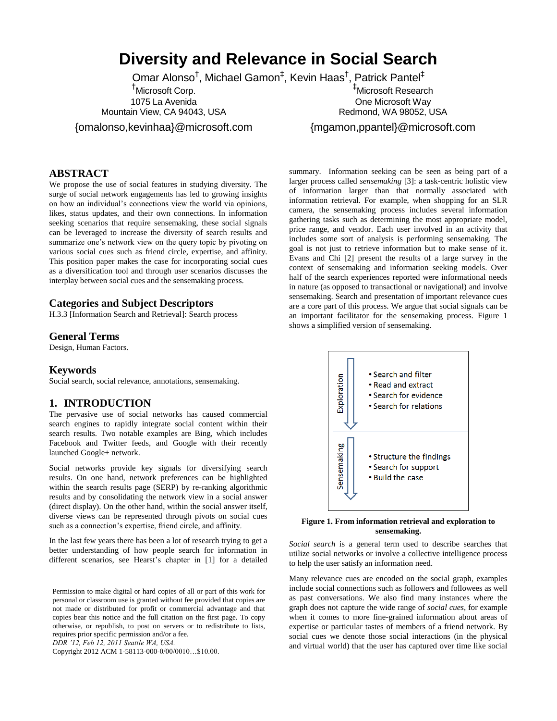# **Diversity and Relevance in Social Search**

Omar Alonso<sup>†</sup>, Michael Gamon<sup>‡</sup>, Kevin Haas<sup>†</sup>, Patrick Pantel<sup>‡</sup>

†Microsoft Corp. 1075 La Avenida Mountain View, CA 94043, USA

{omalonso,kevinhaa}@microsoft.com

#### **ABSTRACT**

We propose the use of social features in studying diversity. The surge of social network engagements has led to growing insights on how an individual's connections view the world via opinions, likes, status updates, and their own connections. In information seeking scenarios that require sensemaking, these social signals can be leveraged to increase the diversity of search results and summarize one's network view on the query topic by pivoting on various social cues such as friend circle, expertise, and affinity. This position paper makes the case for incorporating social cues as a diversification tool and through user scenarios discusses the interplay between social cues and the sensemaking process.

#### **Categories and Subject Descriptors**

H.3.3 [Information Search and Retrieval]: Search process

#### **General Terms**

Design, Human Factors.

#### **Keywords**

Social search, social relevance, annotations, sensemaking.

#### **1. INTRODUCTION**

The pervasive use of social networks has caused commercial search engines to rapidly integrate social content within their search results. Two notable examples are Bing, which includes Facebook and Twitter feeds, and Google with their recently launched Google+ network.

Social networks provide key signals for diversifying search results. On one hand, network preferences can be highlighted within the search results page (SERP) by re-ranking algorithmic results and by consolidating the network view in a social answer (direct display). On the other hand, within the social answer itself, diverse views can be represented through pivots on social cues such as a connection's expertise, friend circle, and affinity.

In the last few years there has been a lot of research trying to get a better understanding of how people search for information in different scenarios, see Hearst's chapter in [1] for a detailed

Permission to make digital or hard copies of all or part of this work for personal or classroom use is granted without fee provided that copies are not made or distributed for profit or commercial advantage and that copies bear this notice and the full citation on the first page. To copy otherwise, or republish, to post on servers or to redistribute to lists, requires prior specific permission and/or a fee.

*DDR '12, Feb 12, 2011 Seattle WA, USA.*

Copyright 2012 ACM 1-58113-000-0/00/0010…\$10.00.

‡Microsoft Research One Microsoft Way Redmond, WA 98052, USA

{mgamon,ppantel}@microsoft.com

summary. Information seeking can be seen as being part of a larger process called *sensemaking* [3]: a task-centric holistic view of information larger than that normally associated with information retrieval. For example, when shopping for an SLR camera, the sensemaking process includes several information gathering tasks such as determining the most appropriate model, price range, and vendor. Each user involved in an activity that includes some sort of analysis is performing sensemaking. The goal is not just to retrieve information but to make sense of it. Evans and Chi [2] present the results of a large survey in the context of sensemaking and information seeking models. Over half of the search experiences reported were informational needs in nature (as opposed to transactional or navigational) and involve sensemaking. Search and presentation of important relevance cues are a core part of this process. We argue that social signals can be an important facilitator for the sensemaking process. Figure 1 shows a simplified version of sensemaking.



**Figure 1. From information retrieval and exploration to sensemaking.**

*Social search* is a general term used to describe searches that utilize social networks or involve a collective intelligence process to help the user satisfy an information need.

Many relevance cues are encoded on the social graph, examples include social connections such as followers and followees as well as past conversations. We also find many instances where the graph does not capture the wide range of *social cues*, for example when it comes to more fine-grained information about areas of expertise or particular tastes of members of a friend network. By social cues we denote those social interactions (in the physical and virtual world) that the user has captured over time like social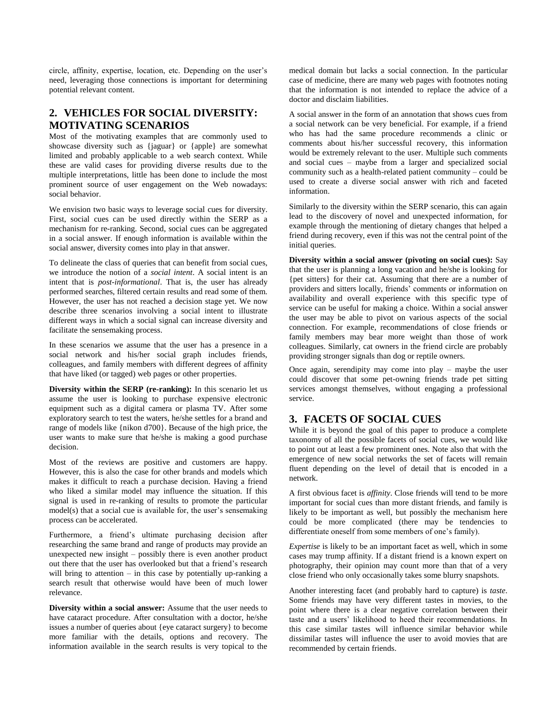circle, affinity, expertise, location, etc. Depending on the user's need, leveraging those connections is important for determining potential relevant content.

# **2. VEHICLES FOR SOCIAL DIVERSITY: MOTIVATING SCENARIOS**

Most of the motivating examples that are commonly used to showcase diversity such as {jaguar} or {apple} are somewhat limited and probably applicable to a web search context. While these are valid cases for providing diverse results due to the multiple interpretations, little has been done to include the most prominent source of user engagement on the Web nowadays: social behavior.

We envision two basic ways to leverage social cues for diversity. First, social cues can be used directly within the SERP as a mechanism for re-ranking. Second, social cues can be aggregated in a social answer. If enough information is available within the social answer, diversity comes into play in that answer.

To delineate the class of queries that can benefit from social cues, we introduce the notion of a *social intent*. A social intent is an intent that is *post-informational*. That is, the user has already performed searches, filtered certain results and read some of them. However, the user has not reached a decision stage yet. We now describe three scenarios involving a social intent to illustrate different ways in which a social signal can increase diversity and facilitate the sensemaking process.

In these scenarios we assume that the user has a presence in a social network and his/her social graph includes friends, colleagues, and family members with different degrees of affinity that have liked (or tagged) web pages or other properties.

**Diversity within the SERP (re-ranking):** In this scenario let us assume the user is looking to purchase expensive electronic equipment such as a digital camera or plasma TV. After some exploratory search to test the waters, he/she settles for a brand and range of models like {nikon d700}. Because of the high price, the user wants to make sure that he/she is making a good purchase decision.

Most of the reviews are positive and customers are happy. However, this is also the case for other brands and models which makes it difficult to reach a purchase decision. Having a friend who liked a similar model may influence the situation. If this signal is used in re-ranking of results to promote the particular model(s) that a social cue is available for, the user's sensemaking process can be accelerated.

Furthermore, a friend's ultimate purchasing decision after researching the same brand and range of products may provide an unexpected new insight – possibly there is even another product out there that the user has overlooked but that a friend's research will bring to attention – in this case by potentially up-ranking a search result that otherwise would have been of much lower relevance.

**Diversity within a social answer:** Assume that the user needs to have cataract procedure. After consultation with a doctor, he/she issues a number of queries about {eye cataract surgery} to become more familiar with the details, options and recovery. The information available in the search results is very topical to the

medical domain but lacks a social connection. In the particular case of medicine, there are many web pages with footnotes noting that the information is not intended to replace the advice of a doctor and disclaim liabilities.

A social answer in the form of an annotation that shows cues from a social network can be very beneficial. For example, if a friend who has had the same procedure recommends a clinic or comments about his/her successful recovery, this information would be extremely relevant to the user. Multiple such comments and social cues – maybe from a larger and specialized social community such as a health-related patient community – could be used to create a diverse social answer with rich and faceted information.

Similarly to the diversity within the SERP scenario, this can again lead to the discovery of novel and unexpected information, for example through the mentioning of dietary changes that helped a friend during recovery, even if this was not the central point of the initial queries.

**Diversity within a social answer (pivoting on social cues):** Say that the user is planning a long vacation and he/she is looking for {pet sitters} for their cat. Assuming that there are a number of providers and sitters locally, friends' comments or information on availability and overall experience with this specific type of service can be useful for making a choice. Within a social answer the user may be able to pivot on various aspects of the social connection. For example, recommendations of close friends or family members may bear more weight than those of work colleagues. Similarly, cat owners in the friend circle are probably providing stronger signals than dog or reptile owners.

Once again, serendipity may come into play – maybe the user could discover that some pet-owning friends trade pet sitting services amongst themselves, without engaging a professional service.

## **3. FACETS OF SOCIAL CUES**

While it is beyond the goal of this paper to produce a complete taxonomy of all the possible facets of social cues, we would like to point out at least a few prominent ones. Note also that with the emergence of new social networks the set of facets will remain fluent depending on the level of detail that is encoded in a network.

A first obvious facet is *affinity*. Close friends will tend to be more important for social cues than more distant friends, and family is likely to be important as well, but possibly the mechanism here could be more complicated (there may be tendencies to differentiate oneself from some members of one's family).

*Expertise* is likely to be an important facet as well, which in some cases may trump affinity. If a distant friend is a known expert on photography, their opinion may count more than that of a very close friend who only occasionally takes some blurry snapshots.

Another interesting facet (and probably hard to capture) is *taste*. Some friends may have very different tastes in movies, to the point where there is a clear negative correlation between their taste and a users' likelihood to heed their recommendations. In this case similar tastes will influence similar behavior while dissimilar tastes will influence the user to avoid movies that are recommended by certain friends.